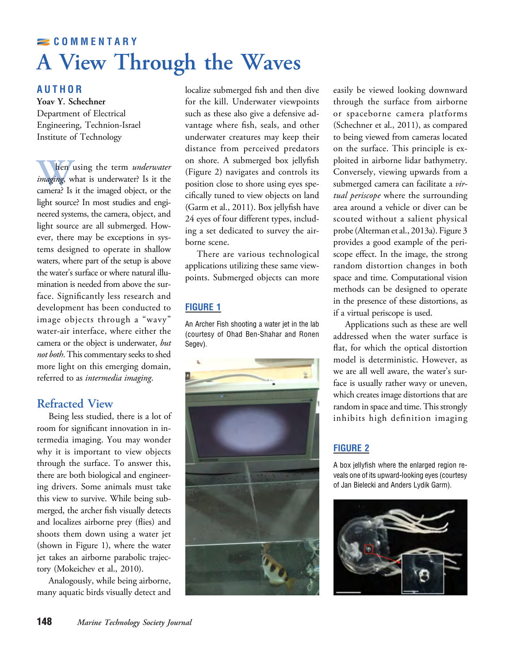# COMMENTARY A View Through the Waves

### AUTHOR

Department of Electrical Engineering, Technion-Israel Institute of Technology

hen using the term *underwater*<br>*imaging*, what is underwater? Is it the<br>camera? Is it the imaged object, or the<br>light source? In most studies and engi-<br>neered systems, the camera, object, and imaging, what is underwater? Is it the camera? Is it the imaged object, or the light source? In most studies and engineered systems, the camera, object, and light source are all submerged. However, there may be exceptions in systems designed to operate in shallow waters, where part of the setup is above the water's surface or where natural illumination is needed from above the surface. Significantly less research and development has been conducted to image objects through a "wavy" water-air interface, where either the camera or the object is underwater, but not both. This commentary seeks to shed more light on this emerging domain, referred to as intermedia imaging.

# **Refracted View**

Being less studied, there is a lot of room for significant innovation in intermedia imaging. You may wonder why it is important to view objects through the surface. To answer this, there are both biological and engineering drivers. Some animals must take this view to survive. While being submerged, the archer fish visually detects and localizes airborne prey (flies) and shoots them down using a water jet (shown in Figure 1), where the water jet takes an airborne parabolic trajectory (Mokeichev et al., 2010).

Analogously, while being airborne, many aquatic birds visually detect and localize submerged fish and then dive for the kill. Underwater viewpoints such as these also give a defensive advantage where fish, seals, and other underwater creatures may keep their distance from perceived predators on shore. A submerged box jellyfish (Figure 2) navigates and controls its position close to shore using eyes specifically tuned to view objects on land (Garm et al., 2011). Box jellyfish have 24 eyes of four different types, including a set dedicated to survey the airborne scene.

There are various technological applications utilizing these same viewpoints. Submerged objects can more

## FIGURE 1

An Archer Fish shooting a water jet in the lab (courtesy of Ohad Ben-Shahar and Ronen Segev).



easily be viewed looking downward through the surface from airborne or spaceborne camera platforms (Schechner et al., 2011), as compared to being viewed from cameras located on the surface. This principle is exploited in airborne lidar bathymetry. Conversely, viewing upwards from a submerged camera can facilitate a virtual periscope where the surrounding area around a vehicle or diver can be scouted without a salient physical probe (Alterman et al., 2013a). Figure 3 provides a good example of the periscope effect. In the image, the strong random distortion changes in both space and time. Computational vision methods can be designed to operate in the presence of these distortions, as if a virtual periscope is used.

Applications such as these are well addressed when the water surface is flat, for which the optical distortion model is deterministic. However, as we are all well aware, the water's surface is usually rather wavy or uneven, which creates image distortions that are random in space and time. This strongly inhibits high definition imaging

## FIGURE 2

A box jellyfish where the enlarged region reveals one of its upward-looking eyes (courtesy of Jan Bielecki and Anders Lydik Garm).

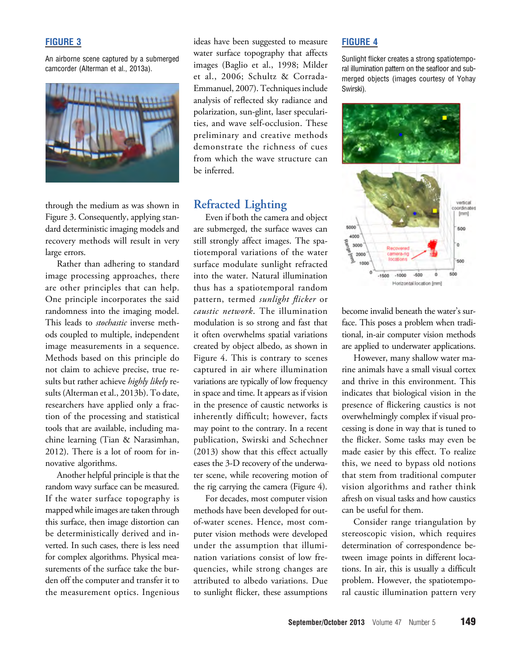### FIGURE 3

An airborne scene captured by a submerged camcorder (Alterman et al., 2013a).



through the medium as was shown in Figure 3. Consequently, applying standard deterministic imaging models and recovery methods will result in very large errors.

Rather than adhering to standard image processing approaches, there are other principles that can help. One principle incorporates the said randomness into the imaging model. This leads to stochastic inverse methods coupled to multiple, independent image measurements in a sequence. Methods based on this principle do not claim to achieve precise, true results but rather achieve highly likely results (Alterman et al., 2013b). To date, researchers have applied only a fraction of the processing and statistical tools that are available, including machine learning (Tian & Narasimhan, 2012). There is a lot of room for innovative algorithms.

Another helpful principle is that the random wavy surface can be measured. If the water surface topography is mapped while images are taken through this surface, then image distortion can be deterministically derived and inverted. In such cases, there is less need for complex algorithms. Physical measurements of the surface take the burden off the computer and transfer it to the measurement optics. Ingenious

ideas have been suggested to measure water surface topography that affects images (Baglio et al., 1998; Milder et al., 2006; Schultz & Corrada-Emmanuel, 2007). Techniques include analysis of reflected sky radiance and polarization, sun-glint, laser specularities, and wave self-occlusion. These preliminary and creative methods demonstrate the richness of cues from which the wave structure can be inferred.

 $E$  Even if both the camera and object are submerged, the surface waves can still strongly affect images. The spatiotemporal variations of the water surface modulate sunlight refracted into the water. Natural illumination thus has a spatiotemporal random pattern, termed sunlight flicker or caustic network. The illumination modulation is so strong and fast that it often overwhelms spatial variations created by object albedo, as shown in Figure 4. This is contrary to scenes captured in air where illumination variations are typically of low frequency in space and time. It appears as if vision in the presence of caustic networks is inherently difficult; however, facts may point to the contrary. In a recent publication, Swirski and Schechner (2013) show that this effect actually eases the 3-D recovery of the underwater scene, while recovering motion of the rig carrying the camera (Figure 4).

For decades, most computer vision methods have been developed for outof-water scenes. Hence, most computer vision methods were developed under the assumption that illumination variations consist of low frequencies, while strong changes are attributed to albedo variations. Due to sunlight flicker, these assumptions

### FIGURE 4

Sunlight flicker creates a strong spatiotemporal illumination pattern on the seafloor and submerged objects (images courtesy of Yohay Swirski).



become invalid beneath the water's surface. This poses a problem when traditional, in-air computer vision methods are applied to underwater applications.

However, many shallow water marine animals have a small visual cortex and thrive in this environment. This indicates that biological vision in the presence of flickering caustics is not overwhelmingly complex if visual processing is done in way that is tuned to the flicker. Some tasks may even be made easier by this effect. To realize this, we need to bypass old notions that stem from traditional computer vision algorithms and rather think afresh on visual tasks and how caustics can be useful for them.

Consider range triangulation by stereoscopic vision, which requires determination of correspondence between image points in different locations. In air, this is usually a difficult problem. However, the spatiotemporal caustic illumination pattern very